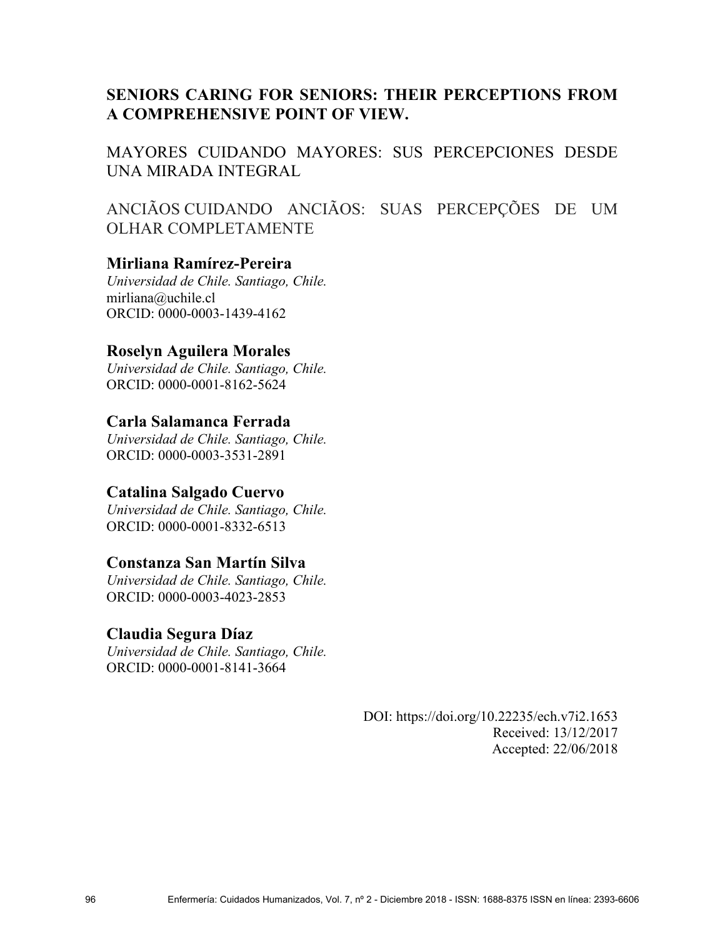# **SENIORS CARING FOR SENIORS: THEIR PERCEPTIONS FROM A COMPREHENSIVE POINT OF VIEW.**

MAYORES CUIDANDO MAYORES: SUS PERCEPCIONES DESDE UNA MIRADA INTEGRAL

ANCIÃOS CUIDANDO ANCIÃOS: SUAS PERCEPÇÕES DE UM OLHAR COMPLETAMENTE

## **Mirliana Ramírez-Pereira**

*Universidad de Chile. Santiago, Chile.*  mirliana@uchile.cl ORCID: 0000-0003-1439-4162

## **Roselyn Aguilera Morales**

*Universidad de Chile. Santiago, Chile.*  ORCID: 0000-0001-8162-5624

## **Carla Salamanca Ferrada**

*Universidad de Chile. Santiago, Chile.*  ORCID: 0000-0003-3531-2891

## **Catalina Salgado Cuervo**

*Universidad de Chile. Santiago, Chile.*  ORCID: 0000-0001-8332-6513

## **Constanza San Martín Silva**

*Universidad de Chile. Santiago, Chile.*  ORCID: 0000-0003-4023-2853

## **Claudia Segura Díaz**

*Universidad de Chile. Santiago, Chile.*  ORCID: 0000-0001-8141-3664

> DOI: https://doi.org/10.22235/ech.v7i2.1653 Received: 13/12/2017 Accepted: 22/06/2018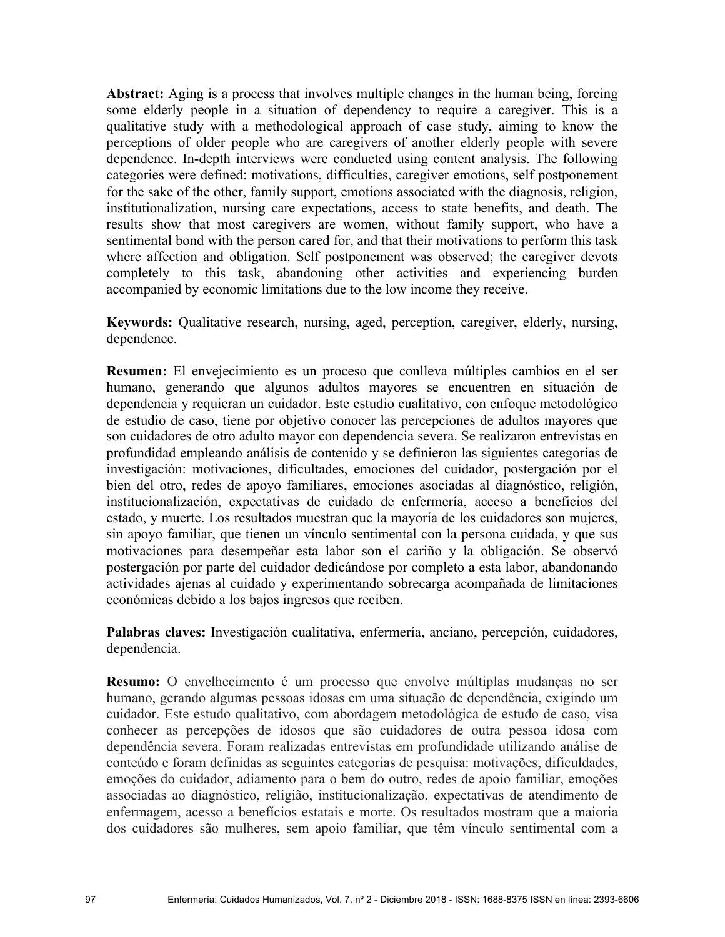**Abstract:** Aging is a process that involves multiple changes in the human being, forcing some elderly people in a situation of dependency to require a caregiver. This is a qualitative study with a methodological approach of case study, aiming to know the perceptions of older people who are caregivers of another elderly people with severe dependence. In-depth interviews were conducted using content analysis. The following categories were defined: motivations, difficulties, caregiver emotions, self postponement for the sake of the other, family support, emotions associated with the diagnosis, religion, institutionalization, nursing care expectations, access to state benefits, and death. The results show that most caregivers are women, without family support, who have a sentimental bond with the person cared for, and that their motivations to perform this task where affection and obligation. Self postponement was observed; the caregiver devots completely to this task, abandoning other activities and experiencing burden accompanied by economic limitations due to the low income they receive.

**Keywords:** Qualitative research, nursing, aged, perception, caregiver, elderly, nursing, dependence.

**Resumen:** El envejecimiento es un proceso que conlleva múltiples cambios en el ser humano, generando que algunos adultos mayores se encuentren en situación de dependencia y requieran un cuidador. Este estudio cualitativo, con enfoque metodológico de estudio de caso, tiene por objetivo conocer las percepciones de adultos mayores que son cuidadores de otro adulto mayor con dependencia severa. Se realizaron entrevistas en profundidad empleando análisis de contenido y se definieron las siguientes categorías de investigación: motivaciones, dificultades, emociones del cuidador, postergación por el bien del otro, redes de apoyo familiares, emociones asociadas al diagnóstico, religión, institucionalización, expectativas de cuidado de enfermería, acceso a beneficios del estado, y muerte. Los resultados muestran que la mayoría de los cuidadores son mujeres, sin apoyo familiar, que tienen un vínculo sentimental con la persona cuidada, y que sus motivaciones para desempeñar esta labor son el cariño y la obligación. Se observó postergación por parte del cuidador dedicándose por completo a esta labor, abandonando actividades ajenas al cuidado y experimentando sobrecarga acompañada de limitaciones económicas debido a los bajos ingresos que reciben.

**Palabras claves:** Investigación cualitativa, enfermería, anciano, percepción, cuidadores, dependencia.

**Resumo:** O envelhecimento é um processo que envolve múltiplas mudanças no ser humano, gerando algumas pessoas idosas em uma situação de dependência, exigindo um cuidador. Este estudo qualitativo, com abordagem metodológica de estudo de caso, visa conhecer as percepções de idosos que são cuidadores de outra pessoa idosa com dependência severa. Foram realizadas entrevistas em profundidade utilizando análise de conteúdo e foram definidas as seguintes categorias de pesquisa: motivações, dificuldades, emoções do cuidador, adiamento para o bem do outro, redes de apoio familiar, emoções associadas ao diagnóstico, religião, institucionalização, expectativas de atendimento de enfermagem, acesso a benefícios estatais e morte. Os resultados mostram que a maioria dos cuidadores são mulheres, sem apoio familiar, que têm vínculo sentimental com a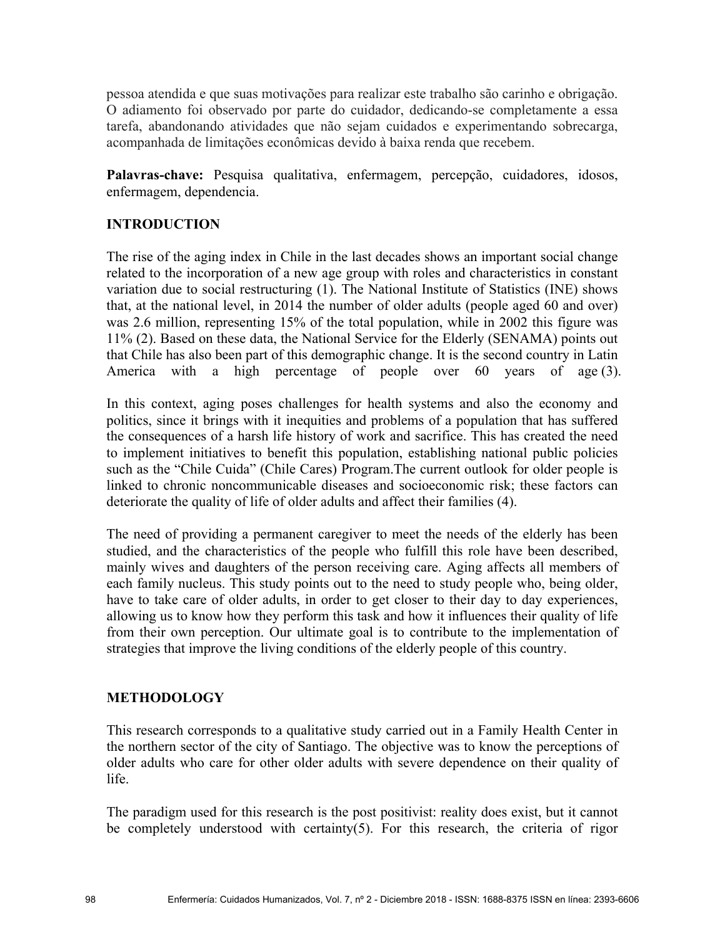pessoa atendida e que suas motivações para realizar este trabalho são carinho e obrigação. O adiamento foi observado por parte do cuidador, dedicando-se completamente a essa tarefa, abandonando atividades que não sejam cuidados e experimentando sobrecarga, acompanhada de limitações econômicas devido à baixa renda que recebem.

Palavras-chave: Pesquisa qualitativa, enfermagem, percepção, cuidadores, idosos, enfermagem, dependencia.

## **INTRODUCTION**

The rise of the aging index in Chile in the last decades shows an important social change related to the incorporation of a new age group with roles and characteristics in constant variation due to social restructuring (1). The National Institute of Statistics (INE) shows that, at the national level, in 2014 the number of older adults (people aged 60 and over) was 2.6 million, representing 15% of the total population, while in 2002 this figure was 11% (2). Based on these data, the National Service for the Elderly (SENAMA) points out that Chile has also been part of this demographic change. It is the second country in Latin America with a high percentage of people over 60 years of age (3).

In this context, aging poses challenges for health systems and also the economy and politics, since it brings with it inequities and problems of a population that has suffered the consequences of a harsh life history of work and sacrifice. This has created the need to implement initiatives to benefit this population, establishing national public policies such as the "Chile Cuida" (Chile Cares) Program.The current outlook for older people is linked to chronic noncommunicable diseases and socioeconomic risk; these factors can deteriorate the quality of life of older adults and affect their families (4).

The need of providing a permanent caregiver to meet the needs of the elderly has been studied, and the characteristics of the people who fulfill this role have been described, mainly wives and daughters of the person receiving care. Aging affects all members of each family nucleus. This study points out to the need to study people who, being older, have to take care of older adults, in order to get closer to their day to day experiences, allowing us to know how they perform this task and how it influences their quality of life from their own perception. Our ultimate goal is to contribute to the implementation of strategies that improve the living conditions of the elderly people of this country.

## **METHODOLOGY**

This research corresponds to a qualitative study carried out in a Family Health Center in the northern sector of the city of Santiago. The objective was to know the perceptions of older adults who care for other older adults with severe dependence on their quality of life.

The paradigm used for this research is the post positivist: reality does exist, but it cannot be completely understood with certainty(5). For this research, the criteria of rigor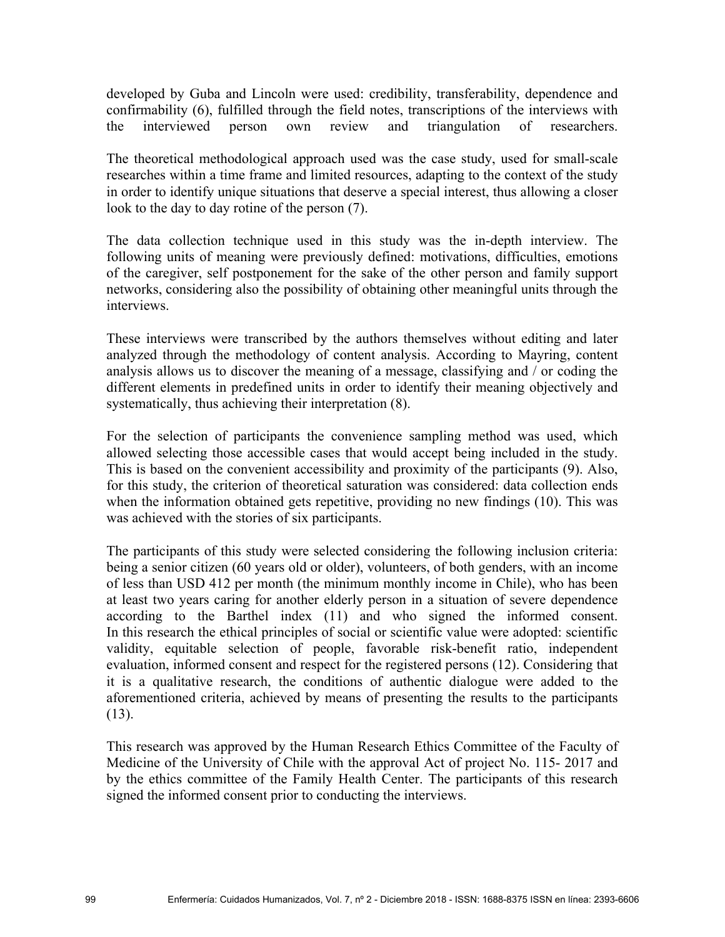developed by Guba and Lincoln were used: credibility, transferability, dependence and confirmability (6), fulfilled through the field notes, transcriptions of the interviews with the interviewed person own review and triangulation of researchers.

The theoretical methodological approach used was the case study, used for small-scale researches within a time frame and limited resources, adapting to the context of the study in order to identify unique situations that deserve a special interest, thus allowing a closer look to the day to day rotine of the person (7).

The data collection technique used in this study was the in-depth interview. The following units of meaning were previously defined: motivations, difficulties, emotions of the caregiver, self postponement for the sake of the other person and family support networks, considering also the possibility of obtaining other meaningful units through the interviews.

These interviews were transcribed by the authors themselves without editing and later analyzed through the methodology of content analysis. According to Mayring, content analysis allows us to discover the meaning of a message, classifying and / or coding the different elements in predefined units in order to identify their meaning objectively and systematically, thus achieving their interpretation (8).

For the selection of participants the convenience sampling method was used, which allowed selecting those accessible cases that would accept being included in the study. This is based on the convenient accessibility and proximity of the participants (9). Also, for this study, the criterion of theoretical saturation was considered: data collection ends when the information obtained gets repetitive, providing no new findings (10). This was was achieved with the stories of six participants.

The participants of this study were selected considering the following inclusion criteria: being a senior citizen (60 years old or older), volunteers, of both genders, with an income of less than USD 412 per month (the minimum monthly income in Chile), who has been at least two years caring for another elderly person in a situation of severe dependence according to the Barthel index (11) and who signed the informed consent. In this research the ethical principles of social or scientific value were adopted: scientific validity, equitable selection of people, favorable risk-benefit ratio, independent evaluation, informed consent and respect for the registered persons (12). Considering that it is a qualitative research, the conditions of authentic dialogue were added to the aforementioned criteria, achieved by means of presenting the results to the participants  $(13)$ .

This research was approved by the Human Research Ethics Committee of the Faculty of Medicine of the University of Chile with the approval Act of project No. 115- 2017 and by the ethics committee of the Family Health Center. The participants of this research signed the informed consent prior to conducting the interviews.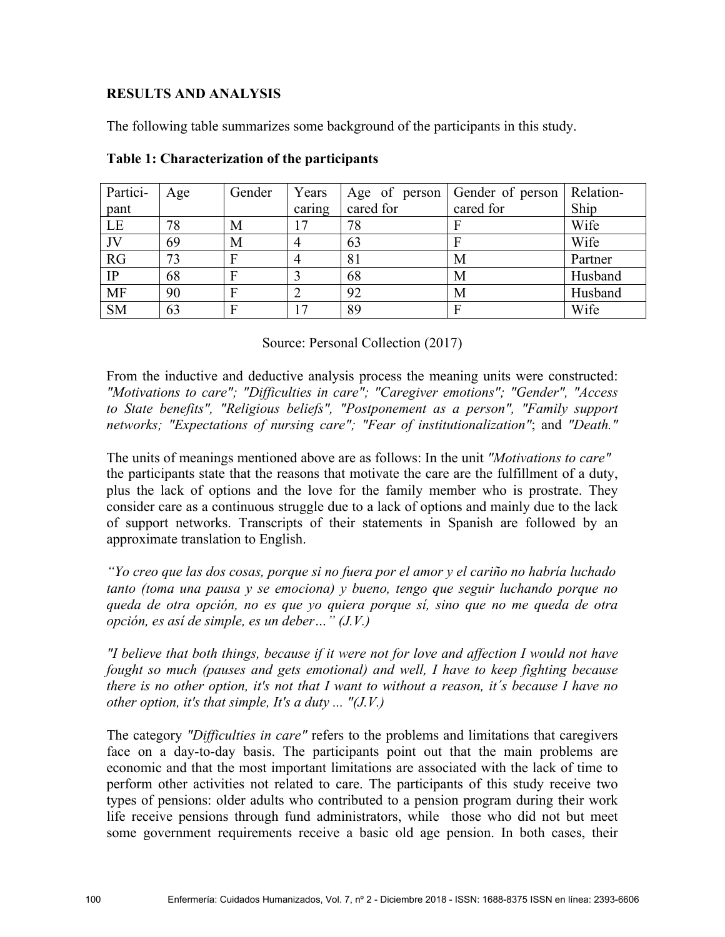### **RESULTS AND ANALYSIS**

The following table summarizes some background of the participants in this study.

| Partici-  | Age | Gender | Years      | Age of person | Gender of person | Relation- |
|-----------|-----|--------|------------|---------------|------------------|-----------|
| pant      |     |        | caring     | cared for     | cared for        | Ship      |
| LE        | 78  | M      | $\sqrt{7}$ | 78            |                  | Wife      |
| JV        | 69  | M      |            | 63            |                  | Wife      |
| RG        | 73  | F      |            | 81            | M                | Partner   |
| $\rm IP$  | 68  | F      |            | 68            | М                | Husband   |
| <b>MF</b> | 90  | F      |            | 92            | M                | Husband   |
| <b>SM</b> | 63  | F      | $\sqrt{7}$ | 89            |                  | Wife      |

#### **Table 1: Characterization of the participants**

Source: Personal Collection (2017)

From the inductive and deductive analysis process the meaning units were constructed: *"Motivations to care"; "Difficulties in care"; "Caregiver emotions"; "Gender", "Access to State benefits", "Religious beliefs", "Postponement as a person", "Family support networks; "Expectations of nursing care"; "Fear of institutionalization"*; and *"Death."*

The units of meanings mentioned above are as follows: In the unit *"Motivations to care"* the participants state that the reasons that motivate the care are the fulfillment of a duty, plus the lack of options and the love for the family member who is prostrate. They consider care as a continuous struggle due to a lack of options and mainly due to the lack of support networks. Transcripts of their statements in Spanish are followed by an approximate translation to English.

*"Yo creo que las dos cosas, porque si no fuera por el amor y el cariño no habría luchado tanto (toma una pausa y se emociona) y bueno, tengo que seguir luchando porque no queda de otra opción, no es que yo quiera porque sí, sino que no me queda de otra opción, es así de simple, es un deber…" (J.V.)*

*"I believe that both things, because if it were not for love and affection I would not have fought so much (pauses and gets emotional) and well, I have to keep fighting because there is no other option, it's not that I want to without a reason, it´s because I have no other option, it's that simple, It's a duty ... "(J.V.)* 

The category *"Difficulties in care"* refers to the problems and limitations that caregivers face on a day-to-day basis. The participants point out that the main problems are economic and that the most important limitations are associated with the lack of time to perform other activities not related to care. The participants of this study receive two types of pensions: older adults who contributed to a pension program during their work life receive pensions through fund administrators, while those who did not but meet some government requirements receive a basic old age pension. In both cases, their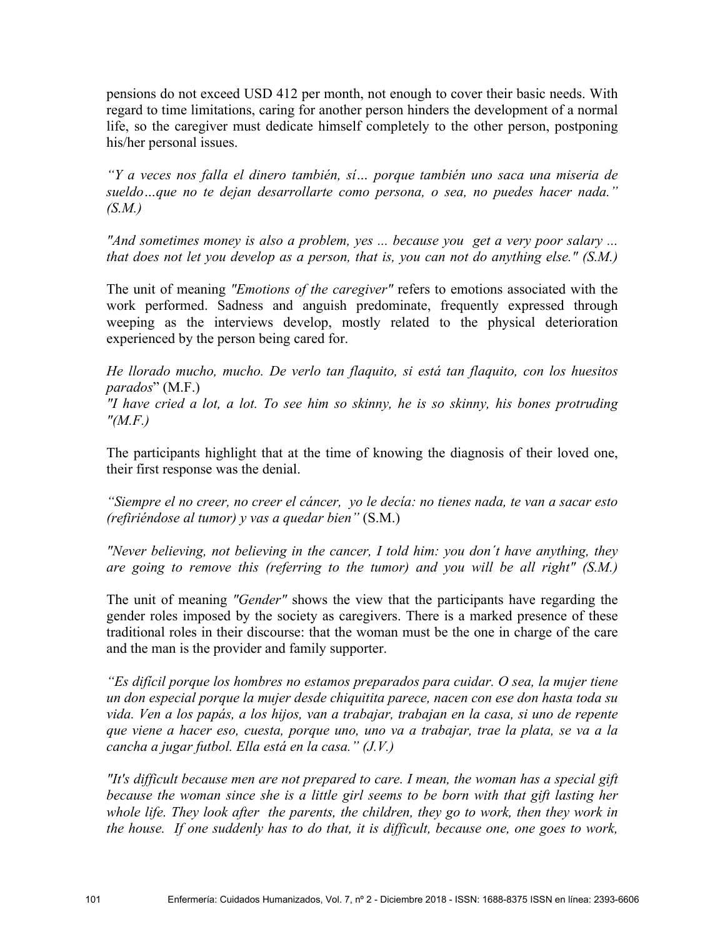pensions do not exceed USD 412 per month, not enough to cover their basic needs. With regard to time limitations, caring for another person hinders the development of a normal life, so the caregiver must dedicate himself completely to the other person, postponing his/her personal issues.

*"Y a veces nos falla el dinero también, sí… porque también uno saca una miseria de sueldo…que no te dejan desarrollarte como persona, o sea, no puedes hacer nada." (S.M.)* 

*"And sometimes money is also a problem, yes ... because you get a very poor salary ... that does not let you develop as a person, that is, you can not do anything else." (S.M.)* 

The unit of meaning *"Emotions of the caregiver"* refers to emotions associated with the work performed. Sadness and anguish predominate, frequently expressed through weeping as the interviews develop, mostly related to the physical deterioration experienced by the person being cared for.

*He llorado mucho, mucho. De verlo tan flaquito, si está tan flaquito, con los huesitos parados*" (M.F.) *"I have cried a lot, a lot. To see him so skinny, he is so skinny, his bones protruding "(M.F.)* 

The participants highlight that at the time of knowing the diagnosis of their loved one, their first response was the denial.

*"Siempre el no creer, no creer el cáncer, yo le decía: no tienes nada, te van a sacar esto (refiriéndose al tumor) y vas a quedar bien"* (S.M.)

*"Never believing, not believing in the cancer, I told him: you don´t have anything, they are going to remove this (referring to the tumor) and you will be all right" (S.M.)* 

The unit of meaning *"Gender"* shows the view that the participants have regarding the gender roles imposed by the society as caregivers. There is a marked presence of these traditional roles in their discourse: that the woman must be the one in charge of the care and the man is the provider and family supporter.

*"Es difícil porque los hombres no estamos preparados para cuidar. O sea, la mujer tiene un don especial porque la mujer desde chiquitita parece, nacen con ese don hasta toda su vida. Ven a los papás, a los hijos, van a trabajar, trabajan en la casa, si uno de repente que viene a hacer eso, cuesta, porque uno, uno va a trabajar, trae la plata, se va a la cancha a jugar futbol. Ella está en la casa." (J.V.)* 

*"It's difficult because men are not prepared to care. I mean, the woman has a special gift because the woman since she is a little girl seems to be born with that gift lasting her whole life. They look after the parents, the children, they go to work, then they work in the house. If one suddenly has to do that, it is difficult, because one, one goes to work,*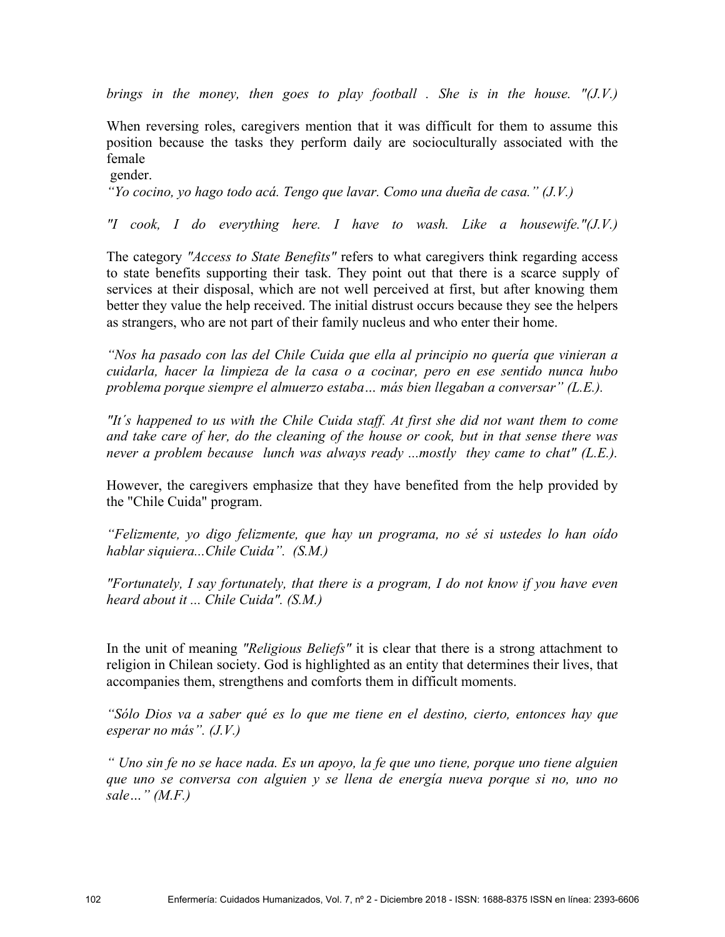*brings in the money, then goes to play football . She is in the house. "(J.V.)*

When reversing roles, caregivers mention that it was difficult for them to assume this position because the tasks they perform daily are socioculturally associated with the female

gender.

*"Yo cocino, yo hago todo acá. Tengo que lavar. Como una dueña de casa." (J.V.)*

*"I cook, I do everything here. I have to wash. Like a housewife."(J.V.)* 

The category *"Access to State Benefits"* refers to what caregivers think regarding access to state benefits supporting their task. They point out that there is a scarce supply of services at their disposal, which are not well perceived at first, but after knowing them better they value the help received. The initial distrust occurs because they see the helpers as strangers, who are not part of their family nucleus and who enter their home.

*"Nos ha pasado con las del Chile Cuida que ella al principio no quería que vinieran a cuidarla, hacer la limpieza de la casa o a cocinar, pero en ese sentido nunca hubo problema porque siempre el almuerzo estaba… más bien llegaban a conversar" (L.E.).*

*"It´s happened to us with the Chile Cuida staff. At first she did not want them to come and take care of her, do the cleaning of the house or cook, but in that sense there was never a problem because lunch was always ready ...mostly they came to chat" (L.E.).* 

However, the caregivers emphasize that they have benefited from the help provided by the "Chile Cuida" program.

*"Felizmente, yo digo felizmente, que hay un programa, no sé si ustedes lo han oído hablar siquiera...Chile Cuida". (S.M.)* 

*"Fortunately, I say fortunately, that there is a program, I do not know if you have even heard about it ... Chile Cuida". (S.M.)* 

In the unit of meaning *"Religious Beliefs"* it is clear that there is a strong attachment to religion in Chilean society. God is highlighted as an entity that determines their lives, that accompanies them, strengthens and comforts them in difficult moments.

*"Sólo Dios va a saber qué es lo que me tiene en el destino, cierto, entonces hay que esperar no más". (J.V.)* 

*" Uno sin fe no se hace nada. Es un apoyo, la fe que uno tiene, porque uno tiene alguien que uno se conversa con alguien y se llena de energía nueva porque si no, uno no sale…" (M.F.)*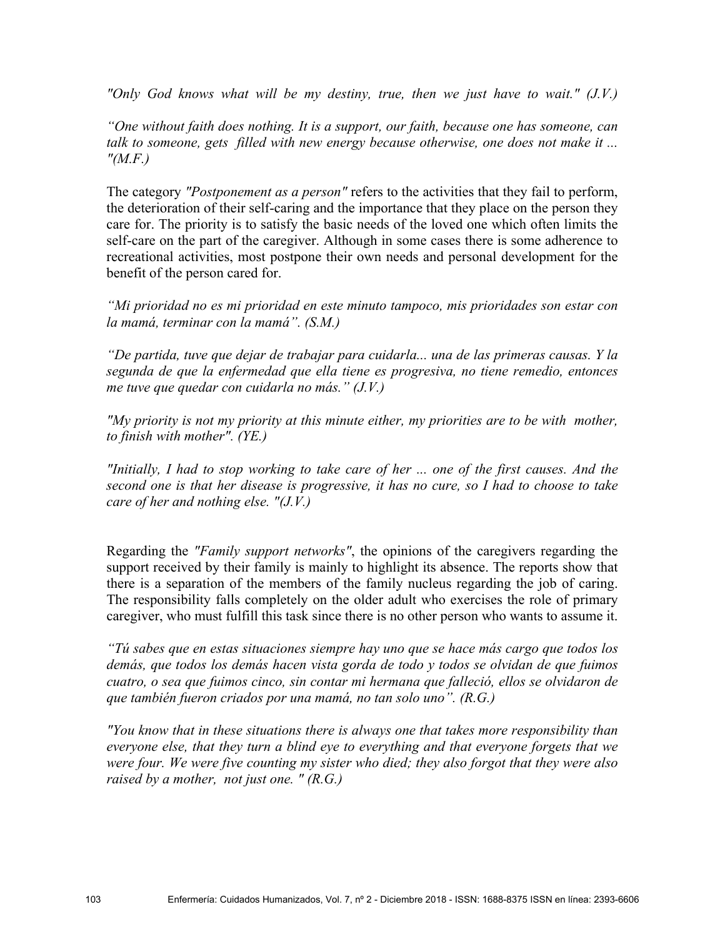*"Only God knows what will be my destiny, true, then we just have to wait." (J.V.)* 

*"One without faith does nothing. It is a support, our faith, because one has someone, can talk to someone, gets filled with new energy because otherwise, one does not make it ... "(M.F.)* 

The category *"Postponement as a person"* refers to the activities that they fail to perform, the deterioration of their self-caring and the importance that they place on the person they care for. The priority is to satisfy the basic needs of the loved one which often limits the self-care on the part of the caregiver. Although in some cases there is some adherence to recreational activities, most postpone their own needs and personal development for the benefit of the person cared for.

*"Mi prioridad no es mi prioridad en este minuto tampoco, mis prioridades son estar con la mamá, terminar con la mamá". (S.M.)* 

*"De partida, tuve que dejar de trabajar para cuidarla... una de las primeras causas. Y la segunda de que la enfermedad que ella tiene es progresiva, no tiene remedio, entonces me tuve que quedar con cuidarla no más." (J.V.)* 

*"My priority is not my priority at this minute either, my priorities are to be with mother, to finish with mother". (YE.)* 

*"Initially, I had to stop working to take care of her ... one of the first causes. And the second one is that her disease is progressive, it has no cure, so I had to choose to take care of her and nothing else. "(J.V.)* 

Regarding the *"Family support networks"*, the opinions of the caregivers regarding the support received by their family is mainly to highlight its absence. The reports show that there is a separation of the members of the family nucleus regarding the job of caring. The responsibility falls completely on the older adult who exercises the role of primary caregiver, who must fulfill this task since there is no other person who wants to assume it.

*"Tú sabes que en estas situaciones siempre hay uno que se hace más cargo que todos los demás, que todos los demás hacen vista gorda de todo y todos se olvidan de que fuimos cuatro, o sea que fuimos cinco, sin contar mi hermana que falleció, ellos se olvidaron de que también fueron criados por una mamá, no tan solo uno". (R.G.)* 

*"You know that in these situations there is always one that takes more responsibility than everyone else, that they turn a blind eye to everything and that everyone forgets that we were four. We were five counting my sister who died; they also forgot that they were also raised by a mother, not just one. " (R.G.)*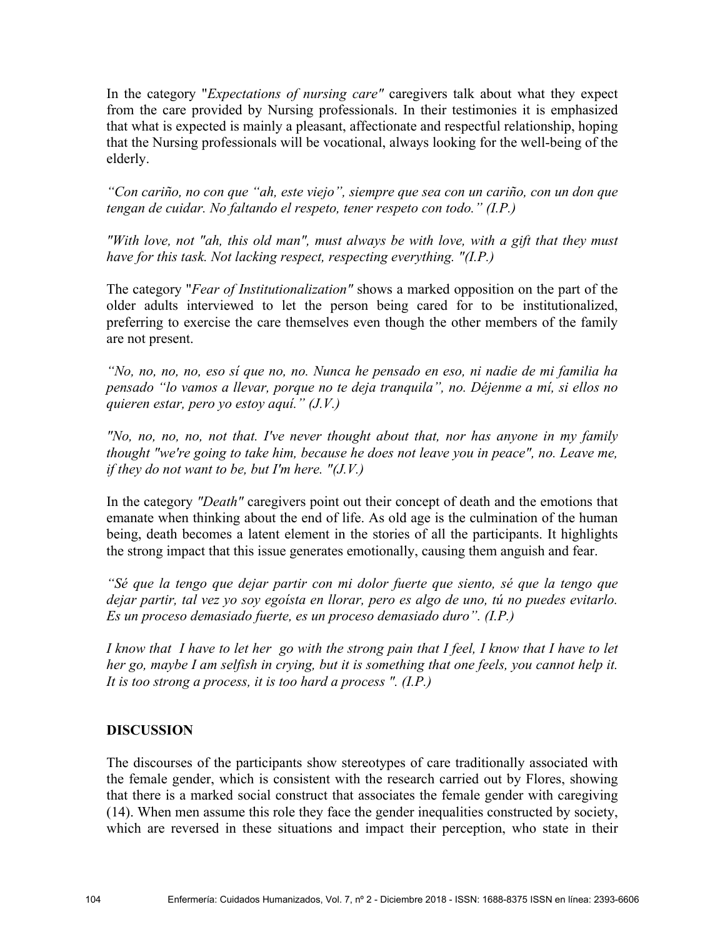In the category "*Expectations of nursing care"* caregivers talk about what they expect from the care provided by Nursing professionals. In their testimonies it is emphasized that what is expected is mainly a pleasant, affectionate and respectful relationship, hoping that the Nursing professionals will be vocational, always looking for the well-being of the elderly.

*"Con cariño, no con que "ah, este viejo", siempre que sea con un cariño, con un don que tengan de cuidar. No faltando el respeto, tener respeto con todo." (I.P.)* 

*"With love, not "ah, this old man", must always be with love, with a gift that they must have for this task. Not lacking respect, respecting everything. "(I.P.)* 

The category "*Fear of Institutionalization"* shows a marked opposition on the part of the older adults interviewed to let the person being cared for to be institutionalized, preferring to exercise the care themselves even though the other members of the family are not present.

*"No, no, no, no, eso sí que no, no. Nunca he pensado en eso, ni nadie de mi familia ha pensado "lo vamos a llevar, porque no te deja tranquila", no. Déjenme a mí, si ellos no quieren estar, pero yo estoy aquí." (J.V.)* 

*"No, no, no, no, not that. I've never thought about that, nor has anyone in my family thought "we're going to take him, because he does not leave you in peace", no. Leave me, if they do not want to be, but I'm here. "(J.V.)* 

In the category *"Death"* caregivers point out their concept of death and the emotions that emanate when thinking about the end of life. As old age is the culmination of the human being, death becomes a latent element in the stories of all the participants. It highlights the strong impact that this issue generates emotionally, causing them anguish and fear.

*"Sé que la tengo que dejar partir con mi dolor fuerte que siento, sé que la tengo que dejar partir, tal vez yo soy egoísta en llorar, pero es algo de uno, tú no puedes evitarlo. Es un proceso demasiado fuerte, es un proceso demasiado duro". (I.P.)*

*I know that I have to let her go with the strong pain that I feel, I know that I have to let her go, maybe I am selfish in crying, but it is something that one feels, you cannot help it. It is too strong a process, it is too hard a process ". (I.P.)* 

## **DISCUSSION**

The discourses of the participants show stereotypes of care traditionally associated with the female gender, which is consistent with the research carried out by Flores, showing that there is a marked social construct that associates the female gender with caregiving (14). When men assume this role they face the gender inequalities constructed by society, which are reversed in these situations and impact their perception, who state in their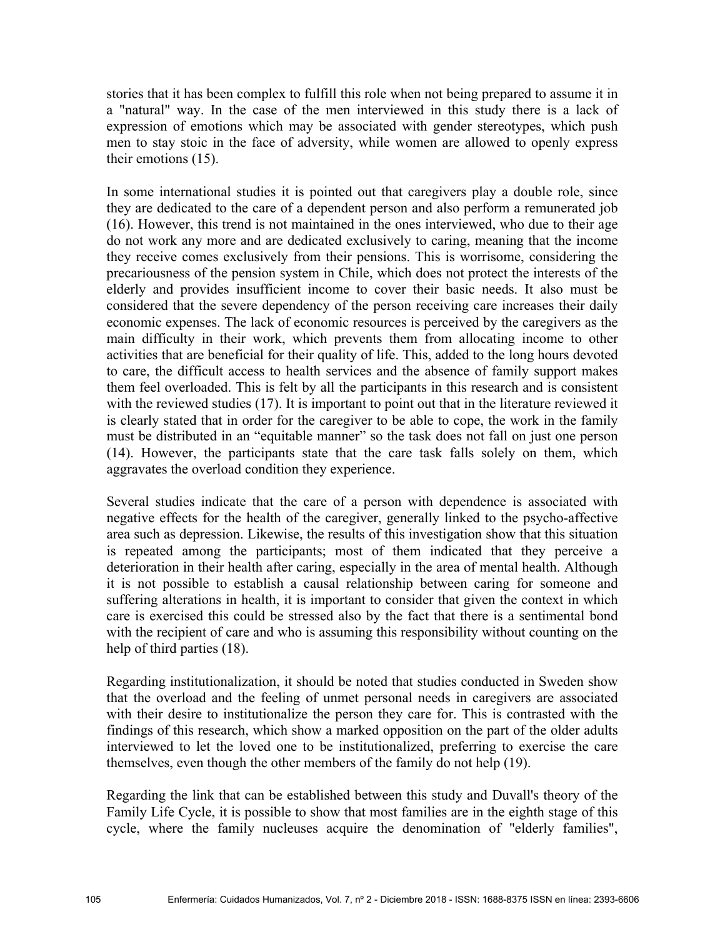stories that it has been complex to fulfill this role when not being prepared to assume it in a "natural" way. In the case of the men interviewed in this study there is a lack of expression of emotions which may be associated with gender stereotypes, which push men to stay stoic in the face of adversity, while women are allowed to openly express their emotions (15).

In some international studies it is pointed out that caregivers play a double role, since they are dedicated to the care of a dependent person and also perform a remunerated job (16). However, this trend is not maintained in the ones interviewed, who due to their age do not work any more and are dedicated exclusively to caring, meaning that the income they receive comes exclusively from their pensions. This is worrisome, considering the precariousness of the pension system in Chile, which does not protect the interests of the elderly and provides insufficient income to cover their basic needs. It also must be considered that the severe dependency of the person receiving care increases their daily economic expenses. The lack of economic resources is perceived by the caregivers as the main difficulty in their work, which prevents them from allocating income to other activities that are beneficial for their quality of life. This, added to the long hours devoted to care, the difficult access to health services and the absence of family support makes them feel overloaded. This is felt by all the participants in this research and is consistent with the reviewed studies (17). It is important to point out that in the literature reviewed it is clearly stated that in order for the caregiver to be able to cope, the work in the family must be distributed in an "equitable manner" so the task does not fall on just one person (14). However, the participants state that the care task falls solely on them, which aggravates the overload condition they experience.

Several studies indicate that the care of a person with dependence is associated with negative effects for the health of the caregiver, generally linked to the psycho-affective area such as depression. Likewise, the results of this investigation show that this situation is repeated among the participants; most of them indicated that they perceive a deterioration in their health after caring, especially in the area of mental health. Although it is not possible to establish a causal relationship between caring for someone and suffering alterations in health, it is important to consider that given the context in which care is exercised this could be stressed also by the fact that there is a sentimental bond with the recipient of care and who is assuming this responsibility without counting on the help of third parties (18).

Regarding institutionalization, it should be noted that studies conducted in Sweden show that the overload and the feeling of unmet personal needs in caregivers are associated with their desire to institutionalize the person they care for. This is contrasted with the findings of this research, which show a marked opposition on the part of the older adults interviewed to let the loved one to be institutionalized, preferring to exercise the care themselves, even though the other members of the family do not help (19).

Regarding the link that can be established between this study and Duvall's theory of the Family Life Cycle, it is possible to show that most families are in the eighth stage of this cycle, where the family nucleuses acquire the denomination of "elderly families",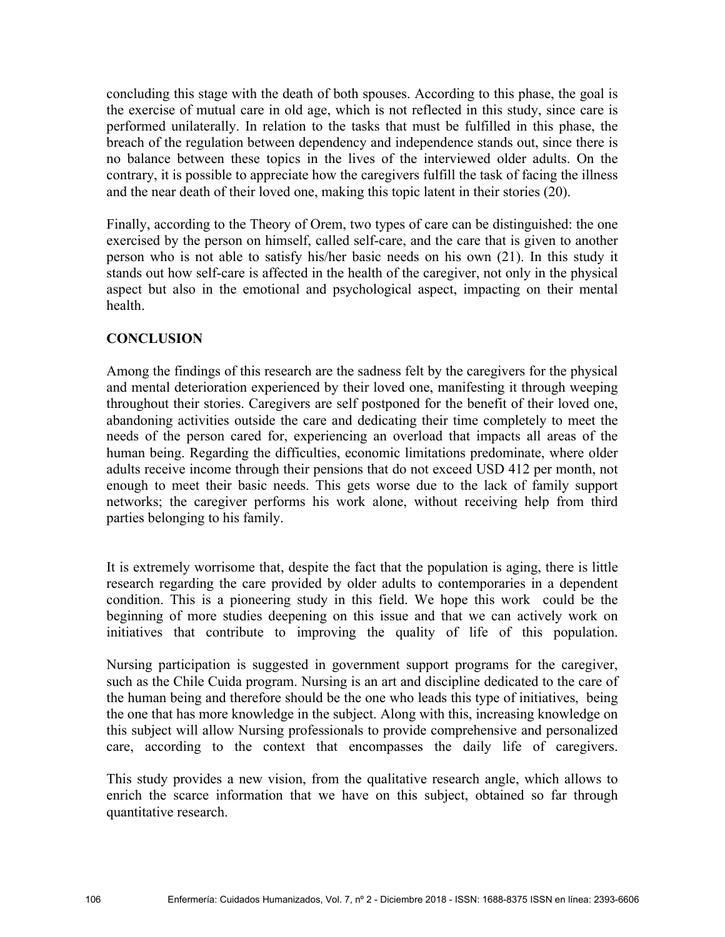concluding this stage with the death of both spouses. According to this phase, the goal is the exercise of mutual care in old age, which is not reflected in this study, since care is performed unilaterally. In relation to the tasks that must be fulfilled in this phase, the breach of the regulation between dependency and independence stands out, since there is no balance between these topics in the lives of the interviewed older adults. On the contrary, it is possible to appreciate how the caregivers fulfill the task of facing the illness and the near death of their loved one, making this topic latent in their stories (20).

Finally, according to the Theory of Orem, two types of care can be distinguished: the one exercised by the person on himself, called self-care, and the care that is given to another person who is not able to satisfy his/her basic needs on his own (21). In this study it stands out how self-care is affected in the health of the caregiver, not only in the physical aspect but also in the emotional and psychological aspect, impacting on their mental health.

## **CONCLUSION**

Among the findings of this research are the sadness felt by the caregivers for the physical and mental deterioration experienced by their loved one, manifesting it through weeping throughout their stories. Caregivers are self postponed for the benefit of their loved one, abandoning activities outside the care and dedicating their time completely to meet the needs of the person cared for, experiencing an overload that impacts all areas of the human being. Regarding the difficulties, economic limitations predominate, where older adults receive income through their pensions that do not exceed USD 412 per month, not enough to meet their basic needs. This gets worse due to the lack of family support networks; the caregiver performs his work alone, without receiving help from third parties belonging to his family.

It is extremely worrisome that, despite the fact that the population is aging, there is little research regarding the care provided by older adults to contemporaries in a dependent condition. This is a pioneering study in this field. We hope this work could be the beginning of more studies deepening on this issue and that we can actively work on initiatives that contribute to improving the quality of life of this population.

Nursing participation is suggested in government support programs for the caregiver, such as the Chile Cuida program. Nursing is an art and discipline dedicated to the care of the human being and therefore should be the one who leads this type of initiatives, being the one that has more knowledge in the subject. Along with this, increasing knowledge on this subject will allow Nursing professionals to provide comprehensive and personalized care, according to the context that encompasses the daily life of caregivers.

This study provides a new vision, from the qualitative research angle, which allows to enrich the scarce information that we have on this subject, obtained so far through quantitative research.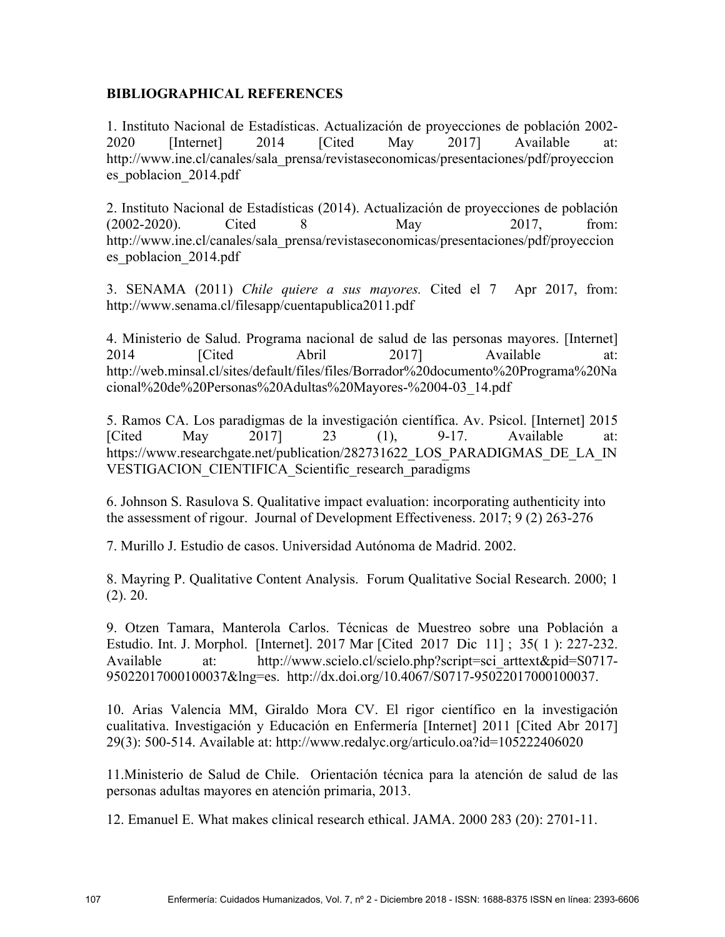### **BIBLIOGRAPHICAL REFERENCES**

1. Instituto Nacional de Estadísticas. Actualización de proyecciones de población 2002- 2020 [Internet] 2014 [Cited May 2017] Available at: http://www.ine.cl/canales/sala\_prensa/revistaseconomicas/presentaciones/pdf/proyeccion es\_poblacion\_2014.pdf

2. Instituto Nacional de Estadísticas (2014). Actualización de proyecciones de población (2002-2020). Cited 8 May 2017, from: http://www.ine.cl/canales/sala\_prensa/revistaseconomicas/presentaciones/pdf/proyeccion es\_poblacion\_2014.pdf

3. SENAMA (2011) *Chile quiere a sus mayores.* Cited el 7 Apr 2017, from: http://www.senama.cl/filesapp/cuentapublica2011.pdf

4. Ministerio de Salud. Programa nacional de salud de las personas mayores. [Internet] 2014 [Cited Abril 2017] Available at: http://web.minsal.cl/sites/default/files/files/Borrador%20documento%20Programa%20Na cional%20de%20Personas%20Adultas%20Mayores-%2004-03\_14.pdf

5. Ramos CA. Los paradigmas de la investigación científica. Av. Psicol. [Internet] 2015 [Cited May  $2017$ ] 23 (1), 9-17. Available at: https://www.researchgate.net/publication/282731622\_LOS\_PARADIGMAS\_DE\_LA\_IN VESTIGACION\_CIENTIFICA\_Scientific\_research\_paradigms

6. Johnson S. Rasulova S. Qualitative impact evaluation: incorporating authenticity into the assessment of rigour. Journal of Development Effectiveness. 2017; 9 (2) 263-276

7. Murillo J. Estudio de casos. Universidad Autónoma de Madrid. 2002.

8. Mayring P. Qualitative Content Analysis. Forum Qualitative Social Research. 2000; 1 (2). 20.

9. Otzen Tamara, Manterola Carlos. Técnicas de Muestreo sobre una Población a Estudio. Int. J. Morphol. [Internet]. 2017 Mar [Cited 2017 Dic 11] ; 35( 1 ): 227-232. Available at: http://www.scielo.cl/scielo.php?script=sci\_arttext&pid=S0717-95022017000100037&lng=es. http://dx.doi.org/10.4067/S0717-95022017000100037.

10. Arias Valencia MM, Giraldo Mora CV. El rigor científico en la investigación cualitativa. Investigación y Educación en Enfermería [Internet] 2011 [Cited Abr 2017] 29(3): 500-514. Available at: http://www.redalyc.org/articulo.oa?id=105222406020

11.Ministerio de Salud de Chile. Orientación técnica para la atención de salud de las personas adultas mayores en atención primaria, 2013.

12. Emanuel E. What makes clinical research ethical. JAMA. 2000 283 (20): 2701-11.